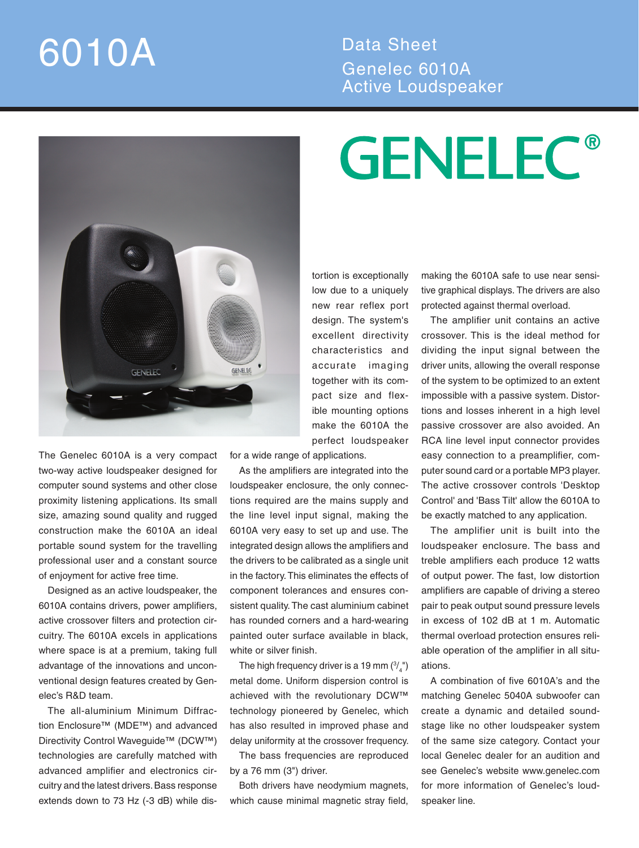## 6010A Data Sheet

## Genelec 6010A Active Loudspeaker



The Genelec 6010A is a very compact two-way active loudspeaker designed for computer sound systems and other close proximity listening applications. Its small size, amazing sound quality and rugged construction make the 6010A an ideal portable sound system for the travelling professional user and a constant source of enjoyment for active free time.

Designed as an active loudspeaker, the 6010A contains drivers, power amplifiers, active crossover filters and protection circuitry. The 6010A excels in applications where space is at a premium, taking full advantage of the innovations and unconventional design features created by Genelec's R&D team.

The all-aluminium Minimum Diffraction Enclosure™ (MDE™) and advanced Directivity Control Waveguide™ (DCW™) technologies are carefully matched with advanced amplifier and electronics circuitry and the latest drivers. Bass response extends down to 73 Hz (-3 dB) while distortion is exceptionally low due to a uniquely new rear reflex port design. The system's excellent directivity characteristics and accurate imaging together with its compact size and flexible mounting options make the 6010A the perfect loudspeaker

for a wide range of applications.

As the amplifiers are integrated into the loudspeaker enclosure, the only connections required are the mains supply and the line level input signal, making the 6010A very easy to set up and use. The integrated design allows the amplifiers and the drivers to be calibrated as a single unit in the factory. This eliminates the effects of component tolerances and ensures consistent quality. The cast aluminium cabinet has rounded corners and a hard-wearing painted outer surface available in black, white or silver finish.

The high frequency driver is a 19 mm  $\binom{3}{4}$ ") metal dome. Uniform dispersion control is achieved with the revolutionary DCW™ technology pioneered by Genelec, which has also resulted in improved phase and delay uniformity at the crossover frequency.

The bass frequencies are reproduced by a 76 mm (3") driver.

Both drivers have neodymium magnets, which cause minimal magnetic stray field,

## **GENELEC®**

making the 6010A safe to use near sensitive graphical displays. The drivers are also protected against thermal overload.

The amplifier unit contains an active crossover. This is the ideal method for dividing the input signal between the driver units, allowing the overall response of the system to be optimized to an extent impossible with a passive system. Distortions and losses inherent in a high level passive crossover are also avoided. An RCA line level input connector provides easy connection to a preamplifier, computer sound card or a portable MP3 player. The active crossover controls 'Desktop Control' and 'Bass Tilt' allow the 6010A to be exactly matched to any application.

The amplifier unit is built into the loudspeaker enclosure. The bass and treble amplifiers each produce 12 watts of output power. The fast, low distortion amplifiers are capable of driving a stereo pair to peak output sound pressure levels in excess of 102 dB at 1 m. Automatic thermal overload protection ensures reliable operation of the amplifier in all situations.

A combination of five 6010A's and the matching Genelec 5040A subwoofer can create a dynamic and detailed soundstage like no other loudspeaker system of the same size category. Contact your local Genelec dealer for an audition and see Genelec's website www.genelec.com for more information of Genelec's loudspeaker line.